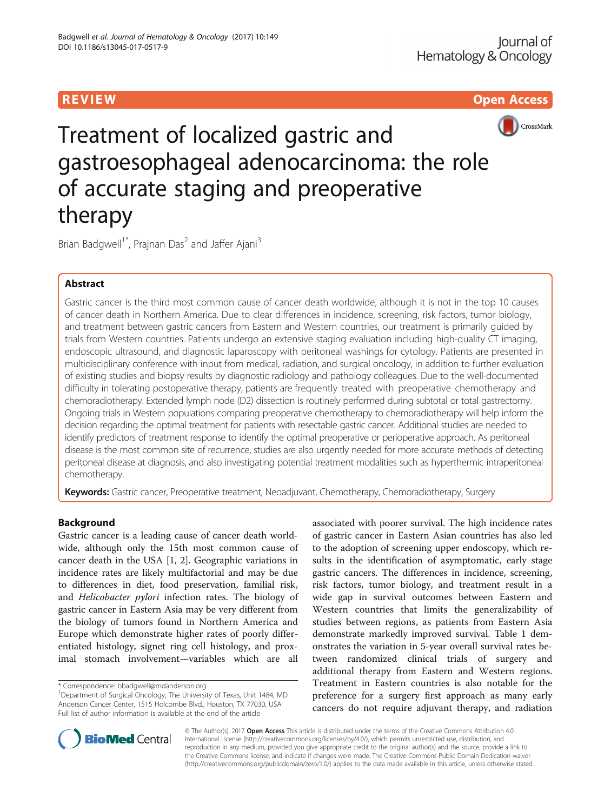R EVI EW Open Access



Treatment of localized gastric and gastroesophageal adenocarcinoma: the role of accurate staging and preoperative therapy

Brian Badgwell<sup>1\*</sup>, Prajnan Das<sup>2</sup> and Jaffer Ajani<sup>3</sup>

# Abstract

Gastric cancer is the third most common cause of cancer death worldwide, although it is not in the top 10 causes of cancer death in Northern America. Due to clear differences in incidence, screening, risk factors, tumor biology, and treatment between gastric cancers from Eastern and Western countries, our treatment is primarily guided by trials from Western countries. Patients undergo an extensive staging evaluation including high-quality CT imaging, endoscopic ultrasound, and diagnostic laparoscopy with peritoneal washings for cytology. Patients are presented in multidisciplinary conference with input from medical, radiation, and surgical oncology, in addition to further evaluation of existing studies and biopsy results by diagnostic radiology and pathology colleagues. Due to the well-documented difficulty in tolerating postoperative therapy, patients are frequently treated with preoperative chemotherapy and chemoradiotherapy. Extended lymph node (D2) dissection is routinely performed during subtotal or total gastrectomy. Ongoing trials in Western populations comparing preoperative chemotherapy to chemoradiotherapy will help inform the decision regarding the optimal treatment for patients with resectable gastric cancer. Additional studies are needed to identify predictors of treatment response to identify the optimal preoperative or perioperative approach. As peritoneal disease is the most common site of recurrence, studies are also urgently needed for more accurate methods of detecting peritoneal disease at diagnosis, and also investigating potential treatment modalities such as hyperthermic intraperitoneal chemotherapy.

Keywords: Gastric cancer, Preoperative treatment, Neoadjuvant, Chemotherapy, Chemoradiotherapy, Surgery

# Background

Gastric cancer is a leading cause of cancer death worldwide, although only the 15th most common cause of cancer death in the USA [\[1](#page-5-0), [2\]](#page-5-0). Geographic variations in incidence rates are likely multifactorial and may be due to differences in diet, food preservation, familial risk, and Helicobacter pylori infection rates. The biology of gastric cancer in Eastern Asia may be very different from the biology of tumors found in Northern America and Europe which demonstrate higher rates of poorly differentiated histology, signet ring cell histology, and proximal stomach involvement—variables which are all

associated with poorer survival. The high incidence rates of gastric cancer in Eastern Asian countries has also led to the adoption of screening upper endoscopy, which results in the identification of asymptomatic, early stage gastric cancers. The differences in incidence, screening, risk factors, tumor biology, and treatment result in a wide gap in survival outcomes between Eastern and Western countries that limits the generalizability of studies between regions, as patients from Eastern Asia demonstrate markedly improved survival. Table [1](#page-1-0) demonstrates the variation in 5-year overall survival rates between randomized clinical trials of surgery and additional therapy from Eastern and Western regions. Treatment in Eastern countries is also notable for the preference for a surgery first approach as many early cancers do not require adjuvant therapy, and radiation



© The Author(s). 2017 **Open Access** This article is distributed under the terms of the Creative Commons Attribution 4.0 International License [\(http://creativecommons.org/licenses/by/4.0/](http://creativecommons.org/licenses/by/4.0/)), which permits unrestricted use, distribution, and reproduction in any medium, provided you give appropriate credit to the original author(s) and the source, provide a link to the Creative Commons license, and indicate if changes were made. The Creative Commons Public Domain Dedication waiver [\(http://creativecommons.org/publicdomain/zero/1.0/](http://creativecommons.org/publicdomain/zero/1.0/)) applies to the data made available in this article, unless otherwise stated.

<sup>\*</sup> Correspondence: [bbadgwell@mdanderson.org](mailto:bbadgwell@mdanderson.org) <sup>1</sup>

Department of Surgical Oncology, The University of Texas, Unit 1484, MD Anderson Cancer Center, 1515 Holcombe Blvd., Houston, TX 77030, USA Full list of author information is available at the end of the article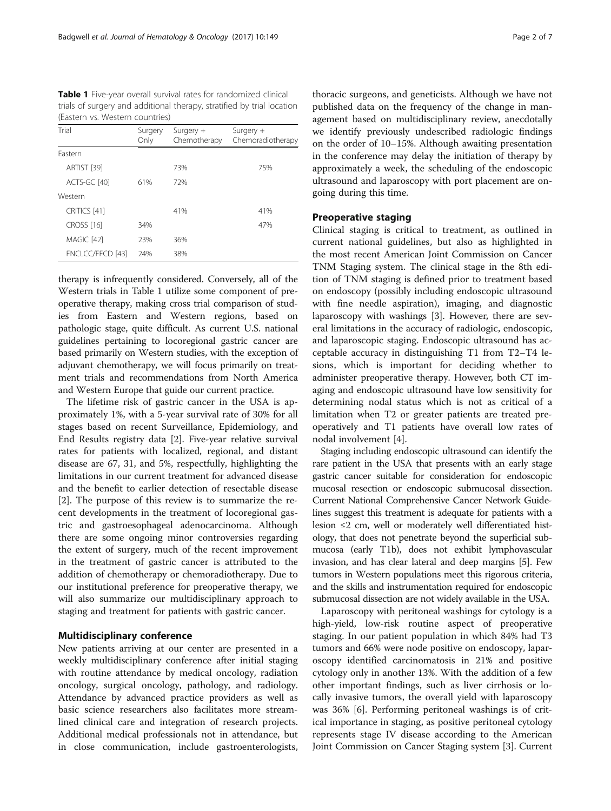<span id="page-1-0"></span>Table 1 Five-year overall survival rates for randomized clinical trials of surgery and additional therapy, stratified by trial location (Eastern vs. Western countries)

| Trial             | Surgery<br>Only | Surgery $+$<br>Chemotherapy | Surgery $+$<br>Chemoradiotherapy |
|-------------------|-----------------|-----------------------------|----------------------------------|
| Fastern           |                 |                             |                                  |
| ARTIST [39]       |                 | 73%                         | 75%                              |
| ACTS-GC [40]      | 61%             | 72%                         |                                  |
| Western           |                 |                             |                                  |
| CRITICS [41]      |                 | 41%                         | 41%                              |
| <b>CROSS</b> [16] | 34%             |                             | 47%                              |
| MAGIC [42]        | 23%             | 36%                         |                                  |
| FNCLCC/FFCD [43]  | 24%             | 38%                         |                                  |

therapy is infrequently considered. Conversely, all of the Western trials in Table 1 utilize some component of preoperative therapy, making cross trial comparison of studies from Eastern and Western regions, based on pathologic stage, quite difficult. As current U.S. national guidelines pertaining to locoregional gastric cancer are based primarily on Western studies, with the exception of adjuvant chemotherapy, we will focus primarily on treatment trials and recommendations from North America and Western Europe that guide our current practice.

The lifetime risk of gastric cancer in the USA is approximately 1%, with a 5-year survival rate of 30% for all stages based on recent Surveillance, Epidemiology, and End Results registry data [\[2](#page-5-0)]. Five-year relative survival rates for patients with localized, regional, and distant disease are 67, 31, and 5%, respectfully, highlighting the limitations in our current treatment for advanced disease and the benefit to earlier detection of resectable disease [[2\]](#page-5-0). The purpose of this review is to summarize the recent developments in the treatment of locoregional gastric and gastroesophageal adenocarcinoma. Although there are some ongoing minor controversies regarding the extent of surgery, much of the recent improvement in the treatment of gastric cancer is attributed to the addition of chemotherapy or chemoradiotherapy. Due to our institutional preference for preoperative therapy, we will also summarize our multidisciplinary approach to staging and treatment for patients with gastric cancer.

# Multidisciplinary conference

New patients arriving at our center are presented in a weekly multidisciplinary conference after initial staging with routine attendance by medical oncology, radiation oncology, surgical oncology, pathology, and radiology. Attendance by advanced practice providers as well as basic science researchers also facilitates more streamlined clinical care and integration of research projects. Additional medical professionals not in attendance, but in close communication, include gastroenterologists,

thoracic surgeons, and geneticists. Although we have not published data on the frequency of the change in management based on multidisciplinary review, anecdotally we identify previously undescribed radiologic findings on the order of 10–15%. Although awaiting presentation in the conference may delay the initiation of therapy by approximately a week, the scheduling of the endoscopic ultrasound and laparoscopy with port placement are ongoing during this time.

## Preoperative staging

Clinical staging is critical to treatment, as outlined in current national guidelines, but also as highlighted in the most recent American Joint Commission on Cancer TNM Staging system. The clinical stage in the 8th edition of TNM staging is defined prior to treatment based on endoscopy (possibly including endoscopic ultrasound with fine needle aspiration), imaging, and diagnostic laparoscopy with washings [[3\]](#page-5-0). However, there are several limitations in the accuracy of radiologic, endoscopic, and laparoscopic staging. Endoscopic ultrasound has acceptable accuracy in distinguishing T1 from T2–T4 lesions, which is important for deciding whether to administer preoperative therapy. However, both CT imaging and endoscopic ultrasound have low sensitivity for determining nodal status which is not as critical of a limitation when T2 or greater patients are treated preoperatively and T1 patients have overall low rates of nodal involvement [[4\]](#page-5-0).

Staging including endoscopic ultrasound can identify the rare patient in the USA that presents with an early stage gastric cancer suitable for consideration for endoscopic mucosal resection or endoscopic submucosal dissection. Current National Comprehensive Cancer Network Guidelines suggest this treatment is adequate for patients with a lesion ≤2 cm, well or moderately well differentiated histology, that does not penetrate beyond the superficial submucosa (early T1b), does not exhibit lymphovascular invasion, and has clear lateral and deep margins [\[5\]](#page-5-0). Few tumors in Western populations meet this rigorous criteria, and the skills and instrumentation required for endoscopic submucosal dissection are not widely available in the USA.

Laparoscopy with peritoneal washings for cytology is a high-yield, low-risk routine aspect of preoperative staging. In our patient population in which 84% had T3 tumors and 66% were node positive on endoscopy, laparoscopy identified carcinomatosis in 21% and positive cytology only in another 13%. With the addition of a few other important findings, such as liver cirrhosis or locally invasive tumors, the overall yield with laparoscopy was 36% [[6\]](#page-5-0). Performing peritoneal washings is of critical importance in staging, as positive peritoneal cytology represents stage IV disease according to the American Joint Commission on Cancer Staging system [\[3](#page-5-0)]. Current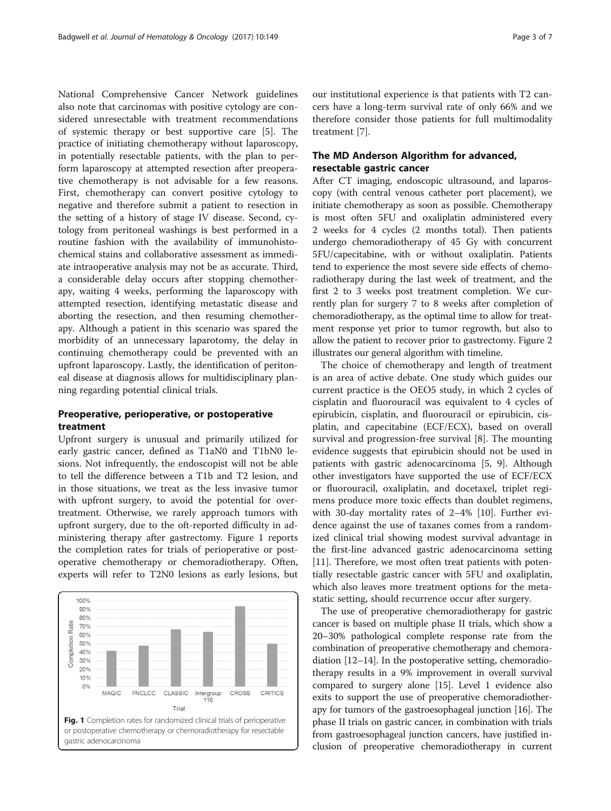National Comprehensive Cancer Network guidelines also note that carcinomas with positive cytology are considered unresectable with treatment recommendations of systemic therapy or best supportive care [\[5](#page-5-0)]. The practice of initiating chemotherapy without laparoscopy, in potentially resectable patients, with the plan to perform laparoscopy at attempted resection after preoperative chemotherapy is not advisable for a few reasons. First, chemotherapy can convert positive cytology to negative and therefore submit a patient to resection in the setting of a history of stage IV disease. Second, cytology from peritoneal washings is best performed in a routine fashion with the availability of immunohistochemical stains and collaborative assessment as immediate intraoperative analysis may not be as accurate. Third, a considerable delay occurs after stopping chemotherapy, waiting 4 weeks, performing the laparoscopy with attempted resection, identifying metastatic disease and aborting the resection, and then resuming chemotherapy. Although a patient in this scenario was spared the morbidity of an unnecessary laparotomy, the delay in continuing chemotherapy could be prevented with an upfront laparoscopy. Lastly, the identification of peritoneal disease at diagnosis allows for multidisciplinary planning regarding potential clinical trials.

# Preoperative, perioperative, or postoperative treatment

Upfront surgery is unusual and primarily utilized for early gastric cancer, defined as T1aN0 and T1bN0 lesions. Not infrequently, the endoscopist will not be able to tell the difference between a T1b and T2 lesion, and in those situations, we treat as the less invasive tumor with upfront surgery, to avoid the potential for overtreatment. Otherwise, we rarely approach tumors with upfront surgery, due to the oft-reported difficulty in administering therapy after gastrectomy. Figure 1 reports the completion rates for trials of perioperative or postoperative chemotherapy or chemoradiotherapy. Often, experts will refer to T2N0 lesions as early lesions, but



our institutional experience is that patients with T2 cancers have a long-term survival rate of only 66% and we therefore consider those patients for full multimodality treatment [[7\]](#page-5-0).

# The MD Anderson Algorithm for advanced, resectable gastric cancer

After CT imaging, endoscopic ultrasound, and laparoscopy (with central venous catheter port placement), we initiate chemotherapy as soon as possible. Chemotherapy is most often 5FU and oxaliplatin administered every 2 weeks for 4 cycles (2 months total). Then patients undergo chemoradiotherapy of 45 Gy with concurrent 5FU/capecitabine, with or without oxaliplatin. Patients tend to experience the most severe side effects of chemoradiotherapy during the last week of treatment, and the first 2 to 3 weeks post treatment completion. We currently plan for surgery 7 to 8 weeks after completion of chemoradiotherapy, as the optimal time to allow for treatment response yet prior to tumor regrowth, but also to allow the patient to recover prior to gastrectomy. Figure [2](#page-3-0) illustrates our general algorithm with timeline.

The choice of chemotherapy and length of treatment is an area of active debate. One study which guides our current practice is the OEO5 study, in which 2 cycles of cisplatin and fluorouracil was equivalent to 4 cycles of epirubicin, cisplatin, and fluorouracil or epirubicin, cisplatin, and capecitabine (ECF/ECX), based on overall survival and progression-free survival [[8\]](#page-5-0). The mounting evidence suggests that epirubicin should not be used in patients with gastric adenocarcinoma [[5](#page-5-0), [9\]](#page-5-0). Although other investigators have supported the use of ECF/ECX or fluorouracil, oxaliplatin, and docetaxel, triplet regimens produce more toxic effects than doublet regimens, with 30-day mortality rates of 2–4% [\[10](#page-5-0)]. Further evidence against the use of taxanes comes from a randomized clinical trial showing modest survival advantage in the first-line advanced gastric adenocarcinoma setting [[11\]](#page-5-0). Therefore, we most often treat patients with potentially resectable gastric cancer with 5FU and oxaliplatin, which also leaves more treatment options for the metastatic setting, should recurrence occur after surgery.

The use of preoperative chemoradiotherapy for gastric cancer is based on multiple phase II trials, which show a 20–30% pathological complete response rate from the combination of preoperative chemotherapy and chemoradiation [[12](#page-5-0)–[14\]](#page-5-0). In the postoperative setting, chemoradiotherapy results in a 9% improvement in overall survival compared to surgery alone [\[15\]](#page-5-0). Level 1 evidence also exits to support the use of preoperative chemoradiotherapy for tumors of the gastroesophageal junction [[16](#page-5-0)]. The phase II trials on gastric cancer, in combination with trials from gastroesophageal junction cancers, have justified inclusion of preoperative chemoradiotherapy in current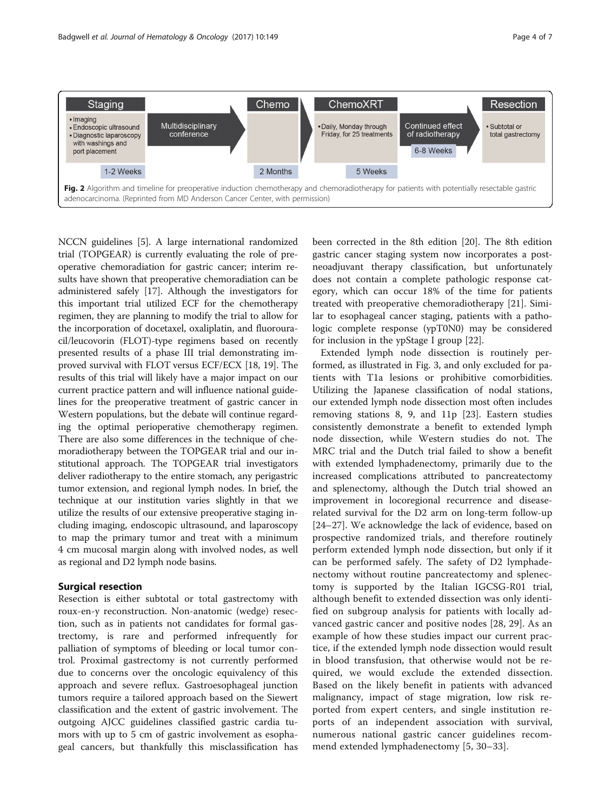<span id="page-3-0"></span>

NCCN guidelines [\[5\]](#page-5-0). A large international randomized trial (TOPGEAR) is currently evaluating the role of preoperative chemoradiation for gastric cancer; interim results have shown that preoperative chemoradiation can be administered safely [[17](#page-5-0)]. Although the investigators for this important trial utilized ECF for the chemotherapy regimen, they are planning to modify the trial to allow for the incorporation of docetaxel, oxaliplatin, and fluorouracil/leucovorin (FLOT)-type regimens based on recently presented results of a phase III trial demonstrating improved survival with FLOT versus ECF/ECX [\[18, 19](#page-5-0)]. The results of this trial will likely have a major impact on our current practice pattern and will influence national guidelines for the preoperative treatment of gastric cancer in Western populations, but the debate will continue regarding the optimal perioperative chemotherapy regimen. There are also some differences in the technique of chemoradiotherapy between the TOPGEAR trial and our institutional approach. The TOPGEAR trial investigators deliver radiotherapy to the entire stomach, any perigastric tumor extension, and regional lymph nodes. In brief, the technique at our institution varies slightly in that we utilize the results of our extensive preoperative staging including imaging, endoscopic ultrasound, and laparoscopy to map the primary tumor and treat with a minimum 4 cm mucosal margin along with involved nodes, as well as regional and D2 lymph node basins.

# Surgical resection

Resection is either subtotal or total gastrectomy with roux-en-y reconstruction. Non-anatomic (wedge) resection, such as in patients not candidates for formal gastrectomy, is rare and performed infrequently for palliation of symptoms of bleeding or local tumor control. Proximal gastrectomy is not currently performed due to concerns over the oncologic equivalency of this approach and severe reflux. Gastroesophageal junction tumors require a tailored approach based on the Siewert classification and the extent of gastric involvement. The outgoing AJCC guidelines classified gastric cardia tumors with up to 5 cm of gastric involvement as esophageal cancers, but thankfully this misclassification has

been corrected in the 8th edition [\[20\]](#page-5-0). The 8th edition gastric cancer staging system now incorporates a postneoadjuvant therapy classification, but unfortunately does not contain a complete pathologic response category, which can occur 18% of the time for patients treated with preoperative chemoradiotherapy [\[21\]](#page-5-0). Similar to esophageal cancer staging, patients with a pathologic complete response (ypT0N0) may be considered for inclusion in the ypStage I group [[22\]](#page-5-0).

Extended lymph node dissection is routinely performed, as illustrated in Fig. [3,](#page-4-0) and only excluded for patients with T1a lesions or prohibitive comorbidities. Utilizing the Japanese classification of nodal stations, our extended lymph node dissection most often includes removing stations 8, 9, and 11p [[23\]](#page-5-0). Eastern studies consistently demonstrate a benefit to extended lymph node dissection, while Western studies do not. The MRC trial and the Dutch trial failed to show a benefit with extended lymphadenectomy, primarily due to the increased complications attributed to pancreatectomy and splenectomy, although the Dutch trial showed an improvement in locoregional recurrence and diseaserelated survival for the D2 arm on long-term follow-up [[24](#page-5-0)–[27](#page-5-0)]. We acknowledge the lack of evidence, based on prospective randomized trials, and therefore routinely perform extended lymph node dissection, but only if it can be performed safely. The safety of D2 lymphadenectomy without routine pancreatectomy and splenectomy is supported by the Italian IGCSG-R01 trial, although benefit to extended dissection was only identified on subgroup analysis for patients with locally advanced gastric cancer and positive nodes [[28, 29](#page-5-0)]. As an example of how these studies impact our current practice, if the extended lymph node dissection would result in blood transfusion, that otherwise would not be required, we would exclude the extended dissection. Based on the likely benefit in patients with advanced malignancy, impact of stage migration, low risk reported from expert centers, and single institution reports of an independent association with survival, numerous national gastric cancer guidelines recommend extended lymphadenectomy [\[5](#page-5-0), [30](#page-5-0)–[33\]](#page-5-0).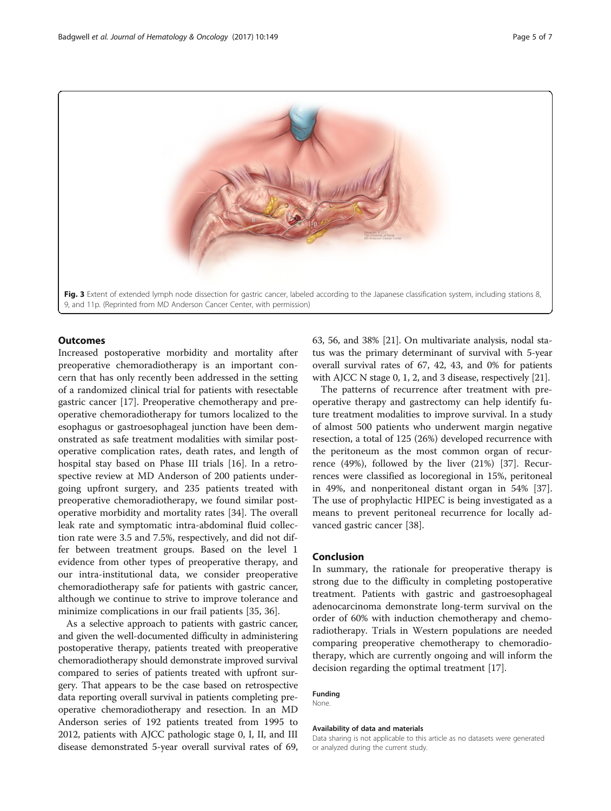<span id="page-4-0"></span>

# **Outcomes**

Increased postoperative morbidity and mortality after preoperative chemoradiotherapy is an important concern that has only recently been addressed in the setting of a randomized clinical trial for patients with resectable gastric cancer [\[17](#page-5-0)]. Preoperative chemotherapy and preoperative chemoradiotherapy for tumors localized to the esophagus or gastroesophageal junction have been demonstrated as safe treatment modalities with similar postoperative complication rates, death rates, and length of hospital stay based on Phase III trials [[16](#page-5-0)]. In a retrospective review at MD Anderson of 200 patients undergoing upfront surgery, and 235 patients treated with preoperative chemoradiotherapy, we found similar postoperative morbidity and mortality rates [\[34](#page-5-0)]. The overall leak rate and symptomatic intra-abdominal fluid collection rate were 3.5 and 7.5%, respectively, and did not differ between treatment groups. Based on the level 1 evidence from other types of preoperative therapy, and our intra-institutional data, we consider preoperative chemoradiotherapy safe for patients with gastric cancer, although we continue to strive to improve tolerance and minimize complications in our frail patients [[35, 36\]](#page-5-0).

As a selective approach to patients with gastric cancer, and given the well-documented difficulty in administering postoperative therapy, patients treated with preoperative chemoradiotherapy should demonstrate improved survival compared to series of patients treated with upfront surgery. That appears to be the case based on retrospective data reporting overall survival in patients completing preoperative chemoradiotherapy and resection. In an MD Anderson series of 192 patients treated from 1995 to 2012, patients with AJCC pathologic stage 0, I, II, and III disease demonstrated 5-year overall survival rates of 69,

63, 56, and 38% [\[21\]](#page-5-0). On multivariate analysis, nodal status was the primary determinant of survival with 5-year overall survival rates of 67, 42, 43, and 0% for patients with AJCC N stage 0, 1, 2, and 3 disease, respectively [\[21](#page-5-0)].

The patterns of recurrence after treatment with preoperative therapy and gastrectomy can help identify future treatment modalities to improve survival. In a study of almost 500 patients who underwent margin negative resection, a total of 125 (26%) developed recurrence with the peritoneum as the most common organ of recurrence (49%), followed by the liver (21%) [[37\]](#page-6-0). Recurrences were classified as locoregional in 15%, peritoneal in 49%, and nonperitoneal distant organ in 54% [\[37](#page-6-0)]. The use of prophylactic HIPEC is being investigated as a means to prevent peritoneal recurrence for locally advanced gastric cancer [\[38](#page-6-0)].

### Conclusion

In summary, the rationale for preoperative therapy is strong due to the difficulty in completing postoperative treatment. Patients with gastric and gastroesophageal adenocarcinoma demonstrate long-term survival on the order of 60% with induction chemotherapy and chemoradiotherapy. Trials in Western populations are needed comparing preoperative chemotherapy to chemoradiotherapy, which are currently ongoing and will inform the decision regarding the optimal treatment [[17\]](#page-5-0).

## Funding

None.

#### Availability of data and materials

Data sharing is not applicable to this article as no datasets were generated or analyzed during the current study.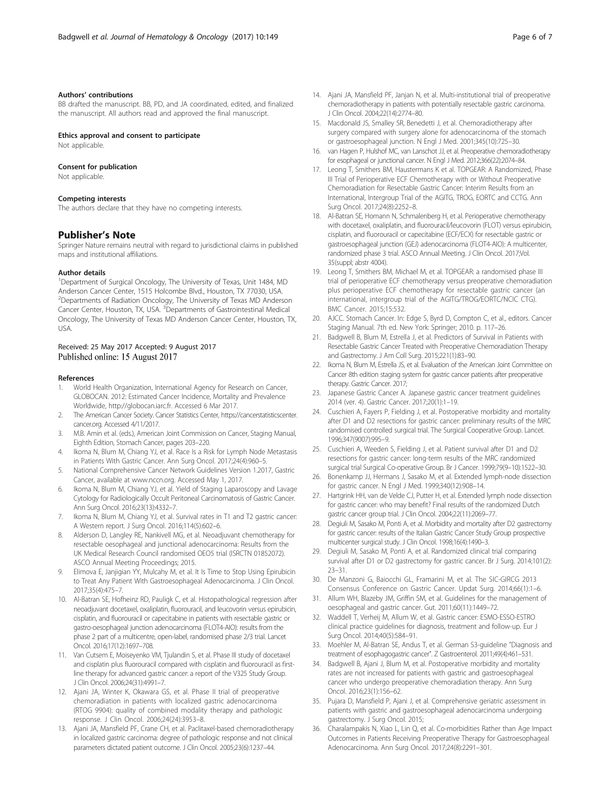#### <span id="page-5-0"></span>Authors' contributions

BB drafted the manuscript. BB, PD, and JA coordinated, edited, and finalized the manuscript. All authors read and approved the final manuscript.

Ethics approval and consent to participate

Not applicable.

## Consent for publication

Not applicable.

#### Competing interests

The authors declare that they have no competing interests.

### Publisher's Note

Springer Nature remains neutral with regard to jurisdictional claims in published maps and institutional affiliations.

#### Author details

<sup>1</sup>Department of Surgical Oncology, The University of Texas, Unit 1484, MD Anderson Cancer Center, 1515 Holcombe Blvd., Houston, TX 77030, USA. <sup>2</sup> Departments of Radiation Oncology, The University of Texas MD Anderson Cancer Center, Houston, TX, USA. <sup>3</sup> Departments of Gastrointestinal Medical Oncology, The University of Texas MD Anderson Cancer Center, Houston, TX, USA.

#### Received: 25 May 2017 Accepted: 9 August 2017 Published online: 15 August 2017

#### References

- 1. World Health Organization, International Agency for Research on Cancer, GLOBOCAN. 2012: Estimated Cancer Incidence, Mortality and Prevalence Worldwide, [http://globocan.iarc.fr.](http://globocan.iarc.fr) Accessed 6 Mar 2017.
- 2. The American Cancer Society. Cancer Statistics Center, [https://cancerstatisticscenter.](https://cancerstatisticscenter.cancer.org) [cancer.org.](https://cancerstatisticscenter.cancer.org) Accessed 4/11/2017.
- 3. M.B. Amin et al. (eds.), American Joint Commission on Cancer, Staging Manual, Eighth Edition, Stomach Cancer, pages 203–220.
- 4. Ikoma N, Blum M, Chiang YJ, et al. Race Is a Risk for Lymph Node Metastasis in Patients With Gastric Cancer. Ann Surg Oncol. 2017;24(4):960–5.
- 5. National Comprehensive Cancer Network Guidelines Version 1.2017, Gastric Cancer, available at [www.nccn.org.](http://www.nccn.org) Accessed May 1, 2017.
- 6. Ikoma N, Blum M, Chiang YJ, et al. Yield of Staging Laparoscopy and Lavage Cytology for Radiologically Occult Peritoneal Carcinomatosis of Gastric Cancer. Ann Surg Oncol. 2016;23(13):4332–7.
- 7. Ikoma N, Blum M, Chiang YJ, et al. Survival rates in T1 and T2 gastric cancer: A Western report. J Surg Oncol. 2016;114(5):602–6.
- 8. Alderson D, Langley RE, Nankivell MG, et al. Neoadjuvant chemotherapy for resectable oesophageal and junctional adenocarcinoma: Results from the UK Medical Research Council randomised OEO5 trial (ISRCTN 01852072). ASCO Annual Meeting Proceedings; 2015.
- 9. Elimova E, Janjigian YY, Mulcahy M, et al. It Is Time to Stop Using Epirubicin to Treat Any Patient With Gastroesophageal Adenocarcinoma. J Clin Oncol. 2017;35(4):475–7.
- 10. Al-Batran SE, Hofheinz RD, Pauligk C, et al. Histopathological regression after neoadjuvant docetaxel, oxaliplatin, fluorouracil, and leucovorin versus epirubicin, cisplatin, and fluorouracil or capecitabine in patients with resectable gastric or gastro-oesophageal junction adenocarcinoma (FLOT4-AIO): results from the phase 2 part of a multicentre, open-label, randomised phase 2/3 trial. Lancet Oncol. 2016;17(12):1697–708.
- 11. Van Cutsem E, Moiseyenko VM, Tjulandin S, et al. Phase III study of docetaxel and cisplatin plus fluorouracil compared with cisplatin and fluorouracil as firstline therapy for advanced gastric cancer: a report of the V325 Study Group. J Clin Oncol. 2006;24(31):4991–7.
- 12. Ajani JA, Winter K, Okawara GS, et al. Phase II trial of preoperative chemoradiation in patients with localized gastric adenocarcinoma (RTOG 9904): quality of combined modality therapy and pathologic response. J Clin Oncol. 2006;24(24):3953–8.
- 13. Ajani JA, Mansfield PF, Crane CH, et al. Paclitaxel-based chemoradiotherapy in localized gastric carcinoma: degree of pathologic response and not clinical parameters dictated patient outcome. J Clin Oncol. 2005;23(6):1237–44.
- 14. Ajani JA, Mansfield PF, Janjan N, et al. Multi-institutional trial of preoperative chemoradiotherapy in patients with potentially resectable gastric carcinoma. J Clin Oncol. 2004;22(14):2774–80.
- 15. Macdonald JS, Smalley SR, Benedetti J, et al. Chemoradiotherapy after surgery compared with surgery alone for adenocarcinoma of the stomach or gastroesophageal junction. N Engl J Med. 2001;345(10):725–30.
- 16. van Hagen P, Hulshof MC, van Lanschot JJ, et al. Preoperative chemoradiotherapy for esophageal or junctional cancer. N Engl J Med. 2012;366(22):2074–84.
- 17. Leong T, Smithers BM, Haustermans K et al. TOPGEAR: A Randomized, Phase III Trial of Perioperative ECF Chemotherapy with or Without Preoperative Chemoradiation for Resectable Gastric Cancer: Interim Results from an International, Intergroup Trial of the AGITG, TROG, EORTC and CCTG. Ann Surg Oncol. 2017;24(8):2252–8.
- 18. Al-Batran SE, Homann N, Schmalenberg H, et al. Perioperative chemotherapy with docetaxel, oxaliplatin, and fluorouracil/leucovorin (FLOT) versus epirubicin, cisplatin, and fluorouracil or capecitabine (ECF/ECX) for resectable gastric or gastroesophageal junction (GEJ) adenocarcinoma (FLOT4-AIO): A multicenter, randomized phase 3 trial. ASCO Annual Meeting. J Clin Oncol. 2017;Vol. 35(suppl; abstr 4004).
- 19. Leong T, Smithers BM, Michael M, et al. TOPGEAR: a randomised phase III trial of perioperative ECF chemotherapy versus preoperative chemoradiation plus perioperative ECF chemotherapy for resectable gastric cancer (an international, intergroup trial of the AGITG/TROG/EORTC/NCIC CTG). BMC Cancer. 2015;15:532.
- 20. AJCC. Stomach Cancer. In: Edge S, Byrd D, Compton C, et al., editors. Cancer Staging Manual. 7th ed. New York: Springer; 2010. p. 117–26.
- 21. Badgwell B, Blum M, Estrella J, et al. Predictors of Survival in Patients with Resectable Gastric Cancer Treated with Preoperative Chemoradiation Therapy and Gastrectomy. J Am Coll Surg. 2015;221(1):83–90.
- 22. Ikoma N, Blum M, Estrella JS, et al. Evaluation of the American Joint Committee on Cancer 8th edition staging system for gastric cancer patients after preoperative therapy. Gastric Cancer. 2017;
- 23. Japanese Gastric Cancer A. Japanese gastric cancer treatment guidelines 2014 (ver. 4). Gastric Cancer. 2017;20(1):1–19.
- 24. Cuschieri A, Fayers P, Fielding J, et al. Postoperative morbidity and mortality after D1 and D2 resections for gastric cancer: preliminary results of the MRC randomised controlled surgical trial. The Surgical Cooperative Group. Lancet. 1996;347(9007):995–9.
- 25. Cuschieri A, Weeden S, Fielding J, et al. Patient survival after D1 and D2 resections for gastric cancer: long-term results of the MRC randomized surgical trial Surgical Co-operative Group. Br J Cancer. 1999;79(9–10):1522–30.
- 26. Bonenkamp JJ, Hermans J, Sasako M, et al. Extended lymph-node dissection for gastric cancer. N Engl J Med. 1999;340(12):908–14.
- 27. Hartgrink HH, van de Velde CJ, Putter H, et al. Extended lymph node dissection for gastric cancer: who may benefit? Final results of the randomized Dutch gastric cancer group trial. J Clin Oncol. 2004;22(11):2069–77.
- 28. Degiuli M, Sasako M, Ponti A, et al. Morbidity and mortality after D2 gastrectomy for gastric cancer: results of the Italian Gastric Cancer Study Group prospective multicenter surgical study. J Clin Oncol. 1998;16(4):1490–3.
- 29. Degiuli M, Sasako M, Ponti A, et al. Randomized clinical trial comparing survival after D1 or D2 gastrectomy for gastric cancer. Br J Surg. 2014;101(2): 23–31.
- 30. De Manzoni G, Baiocchi GL, Framarini M, et al. The SIC-GIRCG 2013 Consensus Conference on Gastric Cancer. Updat Surg. 2014;66(1):1–6.
- 31. Allum WH, Blazeby JM, Griffin SM, et al. Guidelines for the management of oesophageal and gastric cancer. Gut. 2011;60(11):1449–72.
- 32. Waddell T, Verheij M, Allum W, et al. Gastric cancer: ESMO-ESSO-ESTRO clinical practice guidelines for diagnosis, treatment and follow-up. Eur J Surg Oncol. 2014;40(5):584–91.
- 33. Moehler M, Al-Batran SE, Andus T, et al. German S3-guideline "Diagnosis and treatment of esophagogastric cancer". Z Gastroenterol. 2011;49(4):461–531.
- 34. Badgwell B, Ajani J, Blum M, et al. Postoperative morbidity and mortality rates are not increased for patients with gastric and gastroesophageal cancer who undergo preoperative chemoradiation therapy. Ann Surg Oncol. 2016;23(1):156–62.
- 35. Pujara D, Mansfield P, Ajani J, et al. Comprehensive geriatric assessment in patients with gastric and gastroesophageal adenocarcinoma undergoing gastrectomy. J Surg Oncol. 2015;
- 36. Charalampakis N, Xiao L, Lin Q, et al. Co-morbidities Rather than Age Impact Outcomes in Patients Receiving Preoperative Therapy for Gastroesophageal Adenocarcinoma. Ann Surg Oncol. 2017;24(8):2291–301.